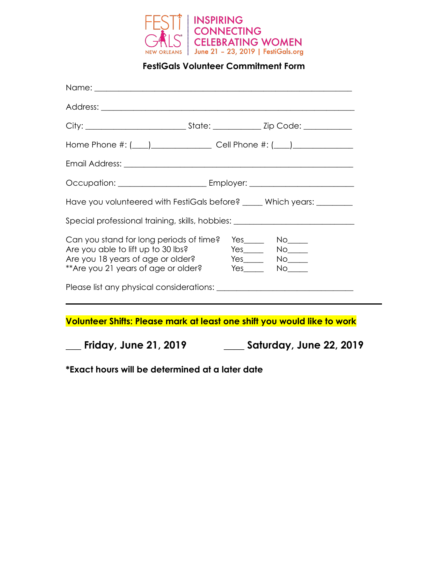

**FestiGals Volunteer Commitment Form** 

| Name: <u>2008 - 2008 - 2008 - 2008 - 2008 - 2008 - 2008 - 2008 - 2008 - 2008 - 2008 - 2008 - 2008 - 2008 - 2008 - 2008 - 2008 - 2008 - 2008 - 2008 - 2008 - 2008 - 2008 - 2008 - 2008 - 2008 - 2008 - 2008 - 2008 - 2008 - 2008 </u> |  |                                                         |
|--------------------------------------------------------------------------------------------------------------------------------------------------------------------------------------------------------------------------------------|--|---------------------------------------------------------|
|                                                                                                                                                                                                                                      |  |                                                         |
|                                                                                                                                                                                                                                      |  |                                                         |
| Home Phone #: (____)_____________________________Cell Phone #: (____)____________                                                                                                                                                    |  |                                                         |
|                                                                                                                                                                                                                                      |  |                                                         |
|                                                                                                                                                                                                                                      |  |                                                         |
| Have you volunteered with FestiGals before? ____ Which years: _______                                                                                                                                                                |  |                                                         |
| Special professional training, skills, hobbies: ________________________________                                                                                                                                                     |  |                                                         |
| Can you stand for long periods of time?<br>Are you able to lift up to 30 lbs?<br>Are you 18 years of age or older?<br>**Are you 21 years of age or older? Yes______ No_____                                                          |  | $Yes$ No $\qquad$<br>$Yes$ $No$ $No$<br>Yes_____ No____ |
|                                                                                                                                                                                                                                      |  |                                                         |
|                                                                                                                                                                                                                                      |  |                                                         |
| Volunteer Shifts: Please mark at least one shift you would like to work                                                                                                                                                              |  |                                                         |
| <b>Friday, June 21, 2019</b>                                                                                                                                                                                                         |  | Saturday, June 22, 2019                                 |

**\*Exact hours will be determined at a later date**